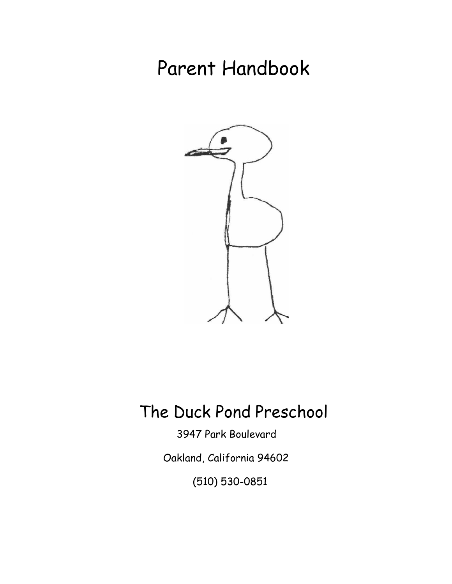# Parent Handbook



# The Duck Pond Preschool

3947 Park Boulevard

Oakland, California 94602

(510) 530-0851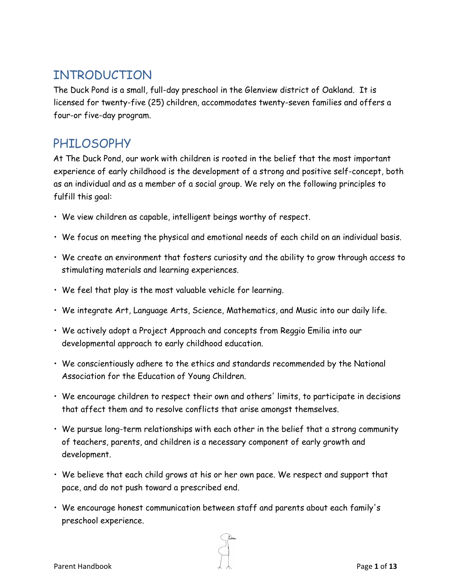## INTRODUCTION

The Duck Pond is a small, full-day preschool in the Glenview district of Oakland. It is licensed for twenty-five (25) children, accommodates twenty-seven families and offers a four-or five-day program.

### PHILOSOPHY

At The Duck Pond, our work with children is rooted in the belief that the most important experience of early childhood is the development of a strong and positive self-concept, both as an individual and as a member of a social group. We rely on the following principles to fulfill this goal:

- We view children as capable, intelligent beings worthy of respect.
- We focus on meeting the physical and emotional needs of each child on an individual basis.
- We create an environment that fosters curiosity and the ability to grow through access to stimulating materials and learning experiences.
- We feel that play is the most valuable vehicle for learning.
- We integrate Art, Language Arts, Science, Mathematics, and Music into our daily life.
- We actively adopt a Project Approach and concepts from Reggio Emilia into our developmental approach to early childhood education.
- We conscientiously adhere to the ethics and standards recommended by the National Association for the Education of Young Children.
- We encourage children to respect their own and others' limits, to participate in decisions that affect them and to resolve conflicts that arise amongst themselves.
- We pursue long-term relationships with each other in the belief that a strong community of teachers, parents, and children is a necessary component of early growth and development.
- We believe that each child grows at his or her own pace. We respect and support that pace, and do not push toward a prescribed end.
- We encourage honest communication between staff and parents about each family's preschool experience.

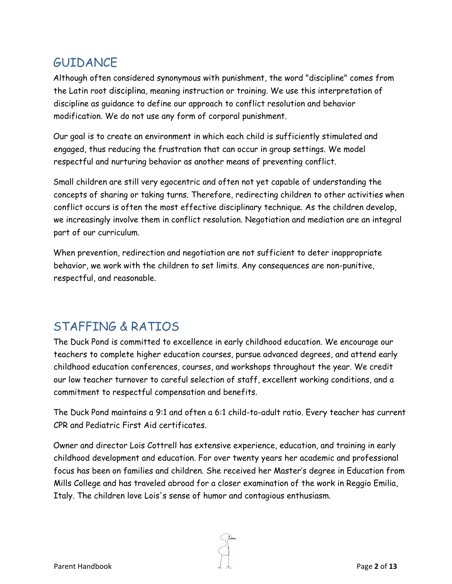### **GUIDANCE**

Although often considered synonymous with punishment, the word "discipline" comes from the Latin root disciplina, meaning instruction or training. We use this interpretation of discipline as guidance to define our approach to conflict resolution and behavior modification. We do not use any form of corporal punishment.

Our goal is to create an environment in which each child is sufficiently stimulated and engaged, thus reducing the frustration that can occur in group settings. We model respectful and nurturing behavior as another means of preventing conflict.

Small children are still very egocentric and often not yet capable of understanding the concepts of sharing or taking turns. Therefore, redirecting children to other activities when conflict occurs is often the most effective disciplinary technique. As the children develop, we increasingly involve them in conflict resolution. Negotiation and mediation are an integral part of our curriculum.

When prevention, redirection and negotiation are not sufficient to deter inappropriate behavior, we work with the children to set limits. Any consequences are non-punitive, respectful, and reasonable.

### STAFFING & RATIOS

The Duck Pond is committed to excellence in early childhood education. We encourage our teachers to complete higher education courses, pursue advanced degrees, and attend early childhood education conferences, courses, and workshops throughout the year. We credit our low teacher turnover to careful selection of staff, excellent working conditions, and a commitment to respectful compensation and benefits.

The Duck Pond maintains a 9:1 and often a 6:1 child-to-adult ratio. Every teacher has current CPR and Pediatric First Aid certificates.

Owner and director Lois Cottrell has extensive experience, education, and training in early childhood development and education. For over twenty years her academic and professional focus has been on families and children. She received her Master's degree in Education from Mills College and has traveled abroad for a closer examination of the work in Reggio Emilia, Italy. The children love Lois's sense of humor and contagious enthusiasm.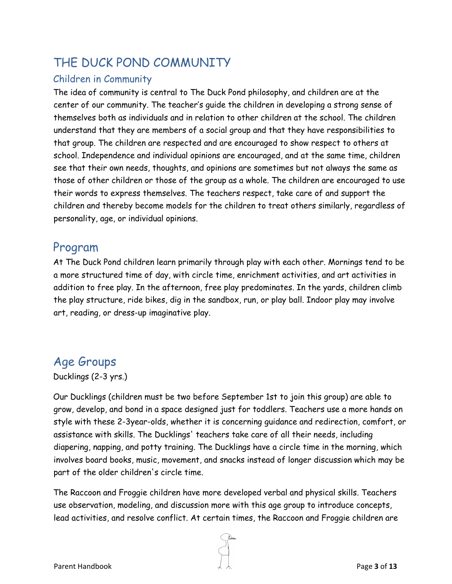# THE DUCK POND COMMUNITY

#### Children in Community

The idea of community is central to The Duck Pond philosophy, and children are at the center of our community. The teacher's guide the children in developing a strong sense of themselves both as individuals and in relation to other children at the school. The children understand that they are members of a social group and that they have responsibilities to that group. The children are respected and are encouraged to show respect to others at school. Independence and individual opinions are encouraged, and at the same time, children see that their own needs, thoughts, and opinions are sometimes but not always the same as those of other children or those of the group as a whole. The children are encouraged to use their words to express themselves. The teachers respect, take care of and support the children and thereby become models for the children to treat others similarly, regardless of personality, age, or individual opinions.

### Program

At The Duck Pond children learn primarily through play with each other. Mornings tend to be a more structured time of day, with circle time, enrichment activities, and art activities in addition to free play. In the afternoon, free play predominates. In the yards, children climb the play structure, ride bikes, dig in the sandbox, run, or play ball. Indoor play may involve art, reading, or dress-up imaginative play.

### Age Groups

Ducklings (2-3 yrs.)

Our Ducklings (children must be two before September 1st to join this group) are able to grow, develop, and bond in a space designed just for toddlers. Teachers use a more hands on style with these 2-3year-olds, whether it is concerning guidance and redirection, comfort, or assistance with skills. The Ducklings' teachers take care of all their needs, including diapering, napping, and potty training. The Ducklings have a circle time in the morning, which involves board books, music, movement, and snacks instead of longer discussion which may be part of the older children's circle time.

The Raccoon and Froggie children have more developed verbal and physical skills. Teachers use observation, modeling, and discussion more with this age group to introduce concepts, lead activities, and resolve conflict. At certain times, the Raccoon and Froggie children are

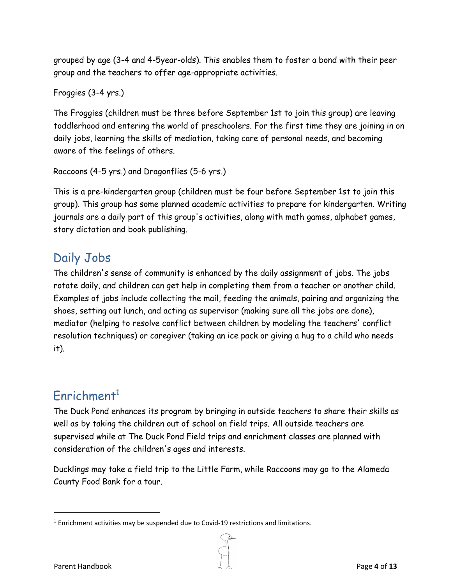grouped by age (3-4 and 4-5year-olds). This enables them to foster a bond with their peer group and the teachers to offer age-appropriate activities.

```
Froggies (3-4 yrs.)
```
The Froggies (children must be three before September 1st to join this group) are leaving toddlerhood and entering the world of preschoolers. For the first time they are joining in on daily jobs, learning the skills of mediation, taking care of personal needs, and becoming aware of the feelings of others.

```
Raccoons (4-5 yrs.) and Dragonflies (5-6 yrs.)
```
This is a pre-kindergarten group (children must be four before September 1st to join this group). This group has some planned academic activities to prepare for kindergarten. Writing journals are a daily part of this group's activities, along with math games, alphabet games, story dictation and book publishing.

### Daily Jobs

The children's sense of community is enhanced by the daily assignment of jobs. The jobs rotate daily, and children can get help in completing them from a teacher or another child. Examples of jobs include collecting the mail, feeding the animals, pairing and organizing the shoes, setting out lunch, and acting as supervisor (making sure all the jobs are done), mediator (helping to resolve conflict between children by modeling the teachers' conflict resolution techniques) or caregiver (taking an ice pack or giving a hug to a child who needs it).

# $Enrichment<sup>1</sup>$

The Duck Pond enhances its program by bringing in outside teachers to share their skills as well as by taking the children out of school on field trips. All outside teachers are supervised while at The Duck Pond Field trips and enrichment classes are planned with consideration of the children's ages and interests.

Ducklings may take a field trip to the Little Farm, while Raccoons may go to the Alameda County Food Bank for a tour.

<sup>&</sup>lt;sup>1</sup> Enrichment activities may be suspended due to Covid-19 restrictions and limitations.

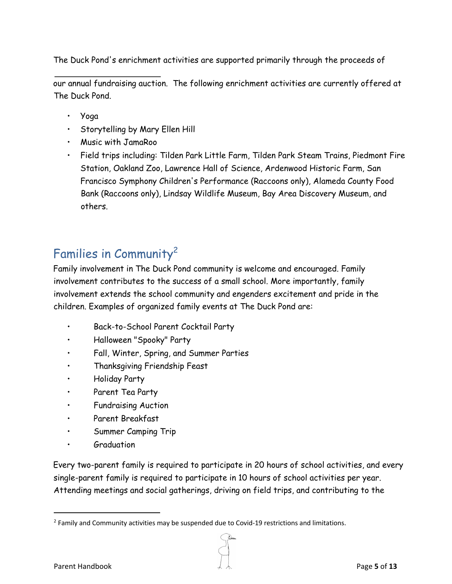The Duck Pond's enrichment activities are supported primarily through the proceeds of

our annual fundraising auction. The following enrichment activities are currently offered at The Duck Pond.

- Yoga
- Storytelling by Mary Ellen Hill
- Music with JamaRoo
- Field trips including: Tilden Park Little Farm, Tilden Park Steam Trains, Piedmont Fire Station, Oakland Zoo, Lawrence Hall of Science, Ardenwood Historic Farm, San Francisco Symphony Children's Performance (Raccoons only), Alameda County Food Bank (Raccoons only), Lindsay Wildlife Museum, Bay Area Discovery Museum, and others.

### Families in Community<sup>2</sup>

Family involvement in The Duck Pond community is welcome and encouraged. Family involvement contributes to the success of a small school. More importantly, family involvement extends the school community and engenders excitement and pride in the children. Examples of organized family events at The Duck Pond are:

- Back-to-School Parent Cocktail Party
- Halloween "Spooky" Party
- Fall, Winter, Spring, and Summer Parties
- Thanksgiving Friendship Feast
- Holiday Party
- Parent Tea Party
- Fundraising Auction
- Parent Breakfast
- Summer Camping Trip
- **Graduation**

Every two-parent family is required to participate in 20 hours of school activities, and every single-parent family is required to participate in 10 hours of school activities per year. Attending meetings and social gatherings, driving on field trips, and contributing to the

<sup>&</sup>lt;sup>2</sup> Family and Community activities may be suspended due to Covid-19 restrictions and limitations.

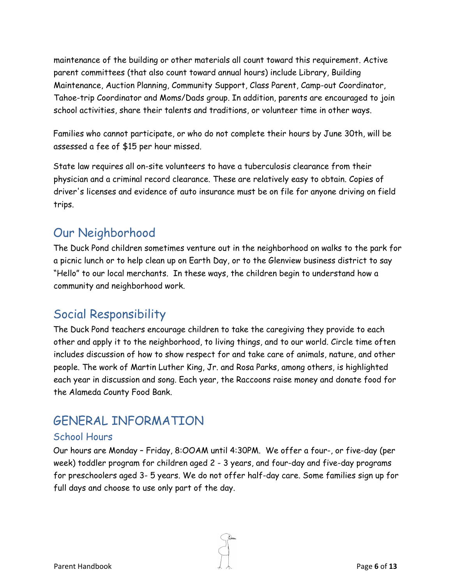maintenance of the building or other materials all count toward this requirement. Active parent committees (that also count toward annual hours) include Library, Building Maintenance, Auction Planning, Community Support, Class Parent, Camp-out Coordinator, Tahoe-trip Coordinator and Moms/Dads group. In addition, parents are encouraged to join school activities, share their talents and traditions, or volunteer time in other ways.

Families who cannot participate, or who do not complete their hours by June 30th, will be assessed a fee of \$15 per hour missed.

State law requires all on-site volunteers to have a tuberculosis clearance from their physician and a criminal record clearance. These are relatively easy to obtain. Copies of driver's licenses and evidence of auto insurance must be on file for anyone driving on field trips.

### Our Neighborhood

The Duck Pond children sometimes venture out in the neighborhood on walks to the park for a picnic lunch or to help clean up on Earth Day, or to the Glenview business district to say "Hello" to our local merchants. In these ways, the children begin to understand how a community and neighborhood work.

### Social Responsibility

The Duck Pond teachers encourage children to take the caregiving they provide to each other and apply it to the neighborhood, to living things, and to our world. Circle time often includes discussion of how to show respect for and take care of animals, nature, and other people. The work of Martin Luther King, Jr. and Rosa Parks, among others, is highlighted each year in discussion and song. Each year, the Raccoons raise money and donate food for the Alameda County Food Bank.

### GENERAL INFORMATION

#### School Hours

Our hours are Monday – Friday, 8:OOAM until 4:30PM. We offer a four-, or five-day (per week) toddler program for children aged 2 - 3 years, and four-day and five-day programs for preschoolers aged 3- 5 years. We do not offer half-day care. Some families sign up for full days and choose to use only part of the day.

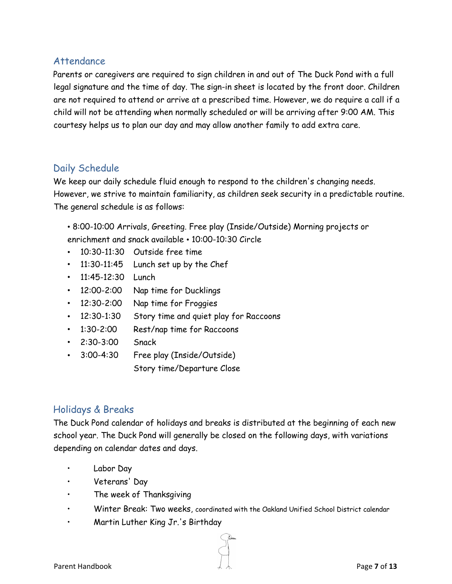#### Attendance

Parents or caregivers are required to sign children in and out of The Duck Pond with a full legal signature and the time of day. The sign-in sheet is located by the front door. Children are not required to attend or arrive at a prescribed time. However, we do require a call if a child will not be attending when normally scheduled or will be arriving after 9:00 AM. This courtesy helps us to plan our day and may allow another family to add extra care.

#### Daily Schedule

We keep our daily schedule fluid enough to respond to the children's changing needs. However, we strive to maintain familiarity, as children seek security in a predictable routine. The general schedule is as follows:

• 8:00-10:00 Arrivals, Greeting. Free play (Inside/Outside) Morning projects or enrichment and snack available • 10:00-10:30 Circle

- 10:30-11:30 Outside free time
- 11:30-11:45 Lunch set up by the Chef
- 11:45-12:30 Lunch
- 12:00-2:00 Nap time for Ducklings
- 12:30-2:00 Nap time for Froggies
- 12:30-1:30 Story time and quiet play for Raccoons
- 1:30-2:00 Rest/nap time for Raccoons
- 2:30-3:00 Snack
- 3:00-4:30 Free play (Inside/Outside) Story time/Departure Close
- 

#### Holidays & Breaks

The Duck Pond calendar of holidays and breaks is distributed at the beginning of each new school year. The Duck Pond will generally be closed on the following days, with variations depending on calendar dates and days.

- Labor Day
- Veterans' Day
- The week of Thanksgiving
- Winter Break: Two weeks, coordinated with the Oakland Unified School District calendar
- Martin Luther King Jr.'s Birthday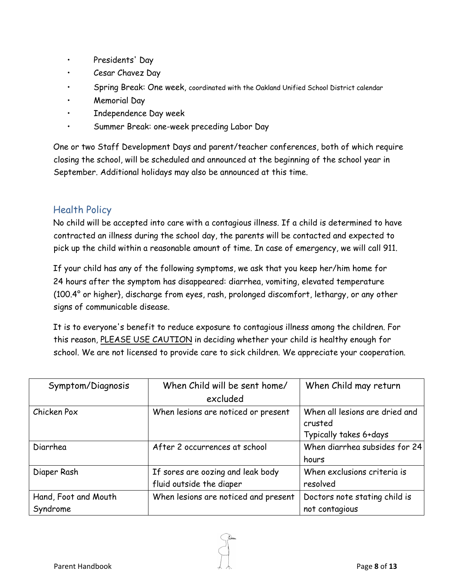- Presidents' Day
- Cesar Chavez Day
- Spring Break: One week, coordinated with the Oakland Unified School District calendar
- Memorial Day
- Independence Day week
- Summer Break: one-week preceding Labor Day

One or two Staff Development Days and parent/teacher conferences, both of which require closing the school, will be scheduled and announced at the beginning of the school year in September. Additional holidays may also be announced at this time.

### Health Policy

No child will be accepted into care with a contagious illness. If a child is determined to have contracted an illness during the school day, the parents will be contacted and expected to pick up the child within a reasonable amount of time. In case of emergency, we will call 911.

If your child has any of the following symptoms, we ask that you keep her/him home for 24 hours after the symptom has disappeared: diarrhea, vomiting, elevated temperature (100.4° or higher}, discharge from eyes, rash, prolonged discomfort, lethargy, or any other signs of communicable disease.

It is to everyone's benefit to reduce exposure to contagious illness among the children. For this reason, PLEASE USE CAUTION in deciding whether your child is healthy enough for school. We are not licensed to provide care to sick children. We appreciate your cooperation.

| Symptom/Diagnosis                | When Child will be sent home/<br>excluded                     | When Child may return                                               |
|----------------------------------|---------------------------------------------------------------|---------------------------------------------------------------------|
| Chicken Pox                      | When lesions are noticed or present                           | When all lesions are dried and<br>crusted<br>Typically takes 6+days |
| Diarrhea                         | After 2 occurrences at school                                 | When diarrhea subsides for 24<br>hours                              |
| Diaper Rash                      | If sores are oozing and leak body<br>fluid outside the diaper | When exclusions criteria is<br>resolved                             |
| Hand, Foot and Mouth<br>Syndrome | When lesions are noticed and present                          | Doctors note stating child is<br>not contagious                     |

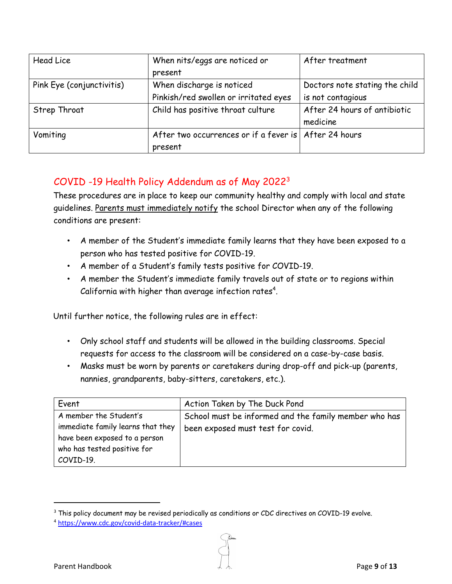| Head Lice                 | When nits/eggs are noticed or                           | After treatment                |
|---------------------------|---------------------------------------------------------|--------------------------------|
|                           | present                                                 |                                |
| Pink Eye (conjunctivitis) | When discharge is noticed                               | Doctors note stating the child |
|                           | Pinkish/red swollen or irritated eyes                   | is not contagious              |
| Strep Throat              | Child has positive throat culture                       | After 24 hours of antibiotic   |
|                           |                                                         | medicine                       |
| Vomiting                  | After two occurrences or if a fever is   After 24 hours |                                |
|                           | present                                                 |                                |

### COVID -19 Health Policy Addendum as of May 2022<sup>3</sup>

These procedures are in place to keep our community healthy and comply with local and state guidelines. Parents must immediately notify the school Director when any of the following conditions are present:

- A member of the Student's immediate family learns that they have been exposed to a person who has tested positive for COVID-19.
- A member of a Student's family tests positive for COVID-19.
- A member the Student's immediate family travels out of state or to regions within California with higher than average infection rates<sup>4</sup>.

Until further notice, the following rules are in effect:

- Only school staff and students will be allowed in the building classrooms. Special requests for access to the classroom will be considered on a case-by-case basis.
- Masks must be worn by parents or caretakers during drop-off and pick-up (parents, nannies, grandparents, baby-sitters, caretakers, etc.).

| Event                             | Action Taken by The Duck Pond                         |
|-----------------------------------|-------------------------------------------------------|
| A member the Student's            | School must be informed and the family member who has |
| immediate family learns that they | been exposed must test for covid.                     |
| have been exposed to a person     |                                                       |
| who has tested positive for       |                                                       |
| COVID-19.                         |                                                       |

<sup>&</sup>lt;sup>3</sup> This policy document may be revised periodically as conditions or CDC directives on COVID-19 evolve.

<sup>4</sup> https://www.cdc.gov/covid-data-tracker/#cases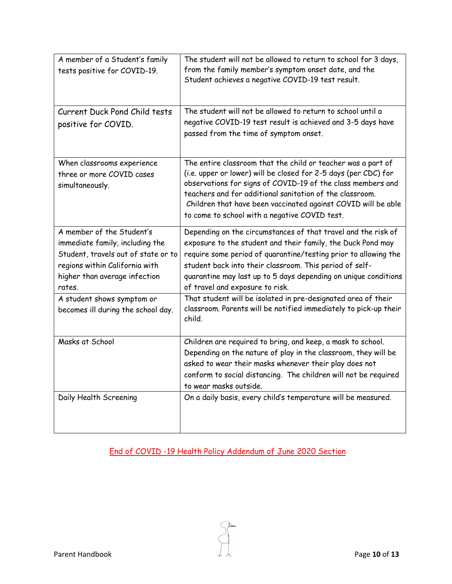| A member of a Student's family<br>tests positive for COVID-19.                                                                                                                                                                                       | The student will not be allowed to return to school for 3 days,<br>from the family member's symptom onset date, and the<br>Student achieves a negative COVID-19 test result.                                                                                                                                                                                                                                                                                                                                    |  |
|------------------------------------------------------------------------------------------------------------------------------------------------------------------------------------------------------------------------------------------------------|-----------------------------------------------------------------------------------------------------------------------------------------------------------------------------------------------------------------------------------------------------------------------------------------------------------------------------------------------------------------------------------------------------------------------------------------------------------------------------------------------------------------|--|
| Current Duck Pond Child tests<br>positive for COVID.                                                                                                                                                                                                 | The student will not be allowed to return to school until a<br>negative COVID-19 test result is achieved and 3-5 days have<br>passed from the time of symptom onset.                                                                                                                                                                                                                                                                                                                                            |  |
| When classrooms experience<br>three or more COVID cases<br>simultaneously.                                                                                                                                                                           | The entire classroom that the child or teacher was a part of<br>(i.e. upper or lower) will be closed for 2-5 days (per CDC) for<br>observations for signs of COVID-19 of the class members and<br>teachers and for additional sanitation of the classroom.<br>Children that have been vaccinated against COVID will be able<br>to come to school with a negative COVID test.                                                                                                                                    |  |
| A member of the Student's<br>immediate family, including the<br>Student, travels out of state or to<br>regions within California with<br>higher than average infection<br>rates.<br>A student shows symptom or<br>becomes ill during the school day. | Depending on the circumstances of that travel and the risk of<br>exposure to the student and their family, the Duck Pond may<br>require some period of quarantine/testing prior to allowing the<br>student back into their classroom. This period of self-<br>quarantine may last up to 5 days depending on unique conditions<br>of travel and exposure to risk.<br>That student will be isolated in pre-designated area of their<br>classroom. Parents will be notified immediately to pick-up their<br>child. |  |
| Masks at School                                                                                                                                                                                                                                      | Children are required to bring, and keep, a mask to school.<br>Depending on the nature of play in the classroom, they will be<br>asked to wear their masks whenever their play does not<br>conform to social distancing. The children will not be required<br>to wear masks outside.                                                                                                                                                                                                                            |  |
| Daily Health Screening                                                                                                                                                                                                                               | On a daily basis, every child's temperature will be measured.                                                                                                                                                                                                                                                                                                                                                                                                                                                   |  |

#### End of COVID -19 Health Policy Addendum of June 2020 Section

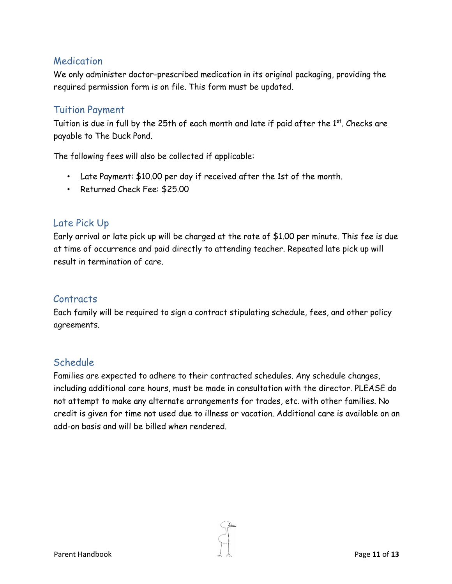#### Medication

We only administer doctor-prescribed medication in its original packaging, providing the required permission form is on file. This form must be updated.

#### Tuition Payment

Tuition is due in full by the 25th of each month and late if paid after the  $1<sup>st</sup>$ . Checks are payable to The Duck Pond.

The following fees will also be collected if applicable:

- Late Payment: \$10.00 per day if received after the 1st of the month.
- Returned Check Fee: \$25.00

#### Late Pick Up

Early arrival or late pick up will be charged at the rate of \$1.00 per minute. This fee is due at time of occurrence and paid directly to attending teacher. Repeated late pick up will result in termination of care.

#### **Contracts**

Each family will be required to sign a contract stipulating schedule, fees, and other policy agreements.

#### Schedule

Families are expected to adhere to their contracted schedules. Any schedule changes, including additional care hours, must be made in consultation with the director. PLEASE do not attempt to make any alternate arrangements for trades, etc. with other families. No credit is given for time not used due to illness or vacation. Additional care is available on an add-on basis and will be billed when rendered.

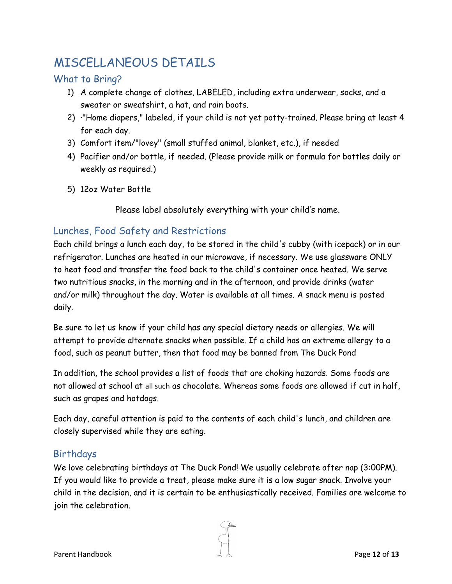# MISCELLANEOUS DETAILS

#### What to Bring?

- 1) A complete change of clothes, LABELED, including extra underwear, socks, and a sweater or sweatshirt, a hat, and rain boots.
- 2) *"Home diapers," labeled, if your child is not yet potty-trained. Please bring at least 4* for each day.
- 3) Comfort item/"lovey" (small stuffed animal, blanket, etc.), if needed
- 4) Pacifier and/or bottle, if needed. (Please provide milk or formula for bottles daily or weekly as required.)
- 5) 12oz Water Bottle

Please label absolutely everything with your child's name.

#### Lunches, Food Safety and Restrictions

Each child brings a lunch each day, to be stored in the child's cubby (with icepack) or in our refrigerator. Lunches are heated in our microwave, if necessary. We use glassware ONLY to heat food and transfer the food back to the child's container once heated. We serve two nutritious snacks, in the morning and in the afternoon, and provide drinks (water and/or milk) throughout the day. Water is available at all times. A snack menu is posted daily.

Be sure to let us know if your child has any special dietary needs or allergies. We will attempt to provide alternate snacks when possible. If a child has an extreme allergy to a food, such as peanut butter, then that food may be banned from The Duck Pond

In addition, the school provides a list of foods that are choking hazards. Some foods are not allowed at school at all such as chocolate. Whereas some foods are allowed if cut in half, such as grapes and hotdogs.

Each day, careful attention is paid to the contents of each child's lunch, and children are closely supervised while they are eating.

#### Birthdays

We love celebrating birthdays at The Duck Pond! We usually celebrate after nap (3:00PM). If you would like to provide a treat, please make sure it is a low sugar snack. Involve your child in the decision, and it is certain to be enthusiastically received. Families are welcome to join the celebration.